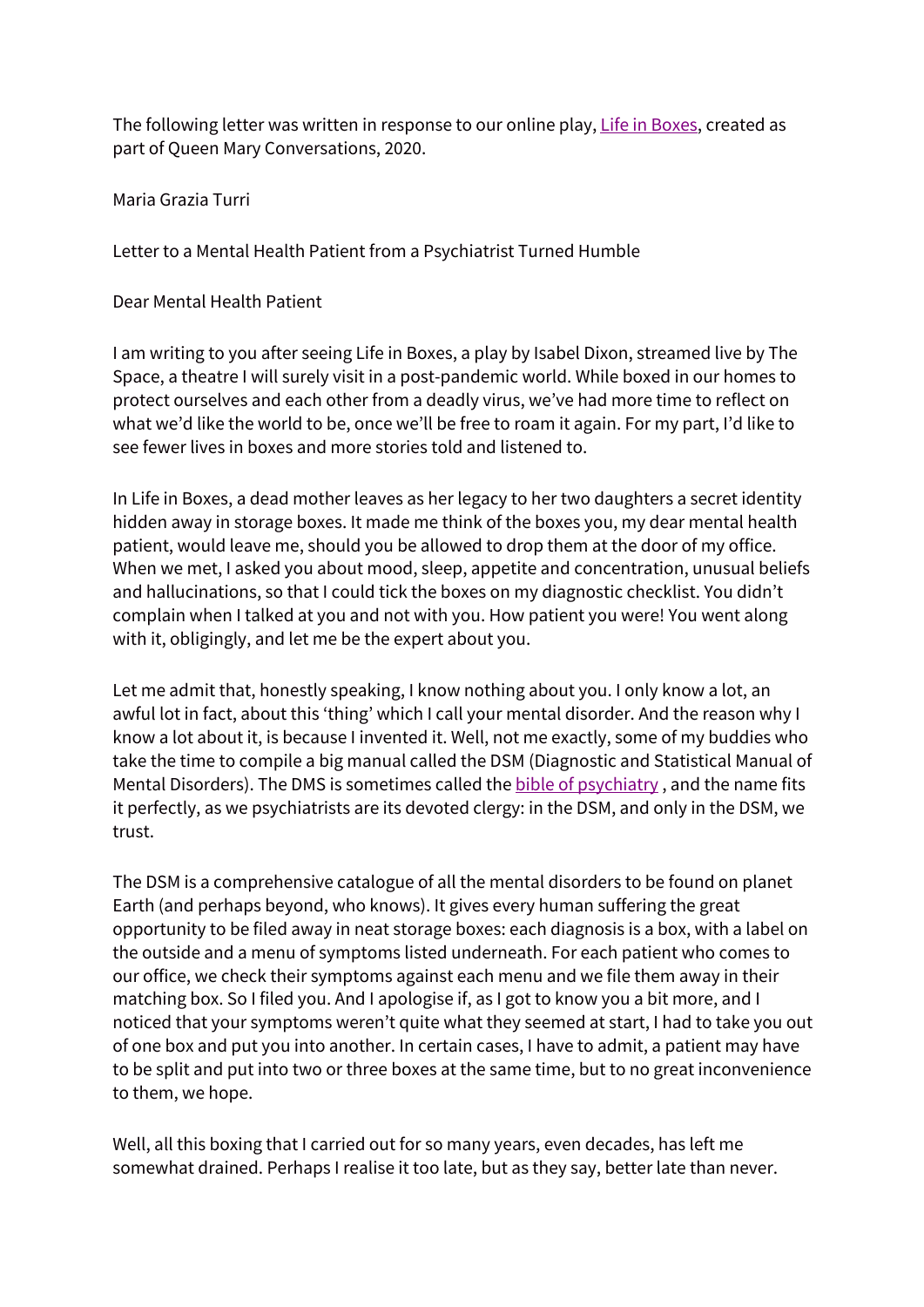The following letter was written in response to our online play, Life in Boxes, created as part of Queen Mary Conversations, 2020.

Maria Grazia Turri

Letter to a Mental Health Patient from a Psychiatrist Turned Humble

Dear Mental Health Patient

I am writing to you after seeing Life in Boxes, a play by Isabel Dixon, streamed live by The Space, a theatre I will surely visit in a post-pandemic world. While boxed in our homes to protect ourselves and each other from a deadly virus, we've had more time to reflect on what we'd like the world to be, once we'll be free to roam it again. For my part, I'd like to see fewer lives in boxes and more stories told and listened to.

In Life in Boxes, a dead mother leaves as her legacy to her two daughters a secret identity hidden away in storage boxes. It made me think of the boxes you, my dear mental health patient, would leave me, should you be allowed to drop them at the door of my office. When we met, I asked you about mood, sleep, appetite and concentration, unusual beliefs and hallucinations, so that I could tick the boxes on my diagnostic checklist. You didn't complain when I talked at you and not with you. How patient you were! You went along with it, obligingly, and let me be the expert about you.

Let me admit that, honestly speaking, I know nothing about you. I only know a lot, an awful lot in fact, about this 'thing' which I call your mental disorder. And the reason why I know a lot about it, is because I invented it. Well, not me exactly, some of my buddies who take the time to compile a big manual called the DSM (Diagnostic and Statistical Manual of Mental Disorders). The DMS is sometimes called the bible of psychiatry , and the name fits it perfectly, as we psychiatrists are its devoted clergy: in the DSM, and only in the DSM, we trust.

The DSM is a comprehensive catalogue of all the mental disorders to be found on planet Earth (and perhaps beyond, who knows). It gives every human suffering the great opportunity to be filed away in neat storage boxes: each diagnosis is a box, with a label on the outside and a menu of symptoms listed underneath. For each patient who comes to our office, we check their symptoms against each menu and we file them away in their matching box. So I filed you. And I apologise if, as I got to know you a bit more, and I noticed that your symptoms weren't quite what they seemed at start, I had to take you out of one box and put you into another. In certain cases, I have to admit, a patient may have to be split and put into two or three boxes at the same time, but to no great inconvenience to them, we hope.

Well, all this boxing that I carried out for so many years, even decades, has left me somewhat drained. Perhaps I realise it too late, but as they say, better late than never.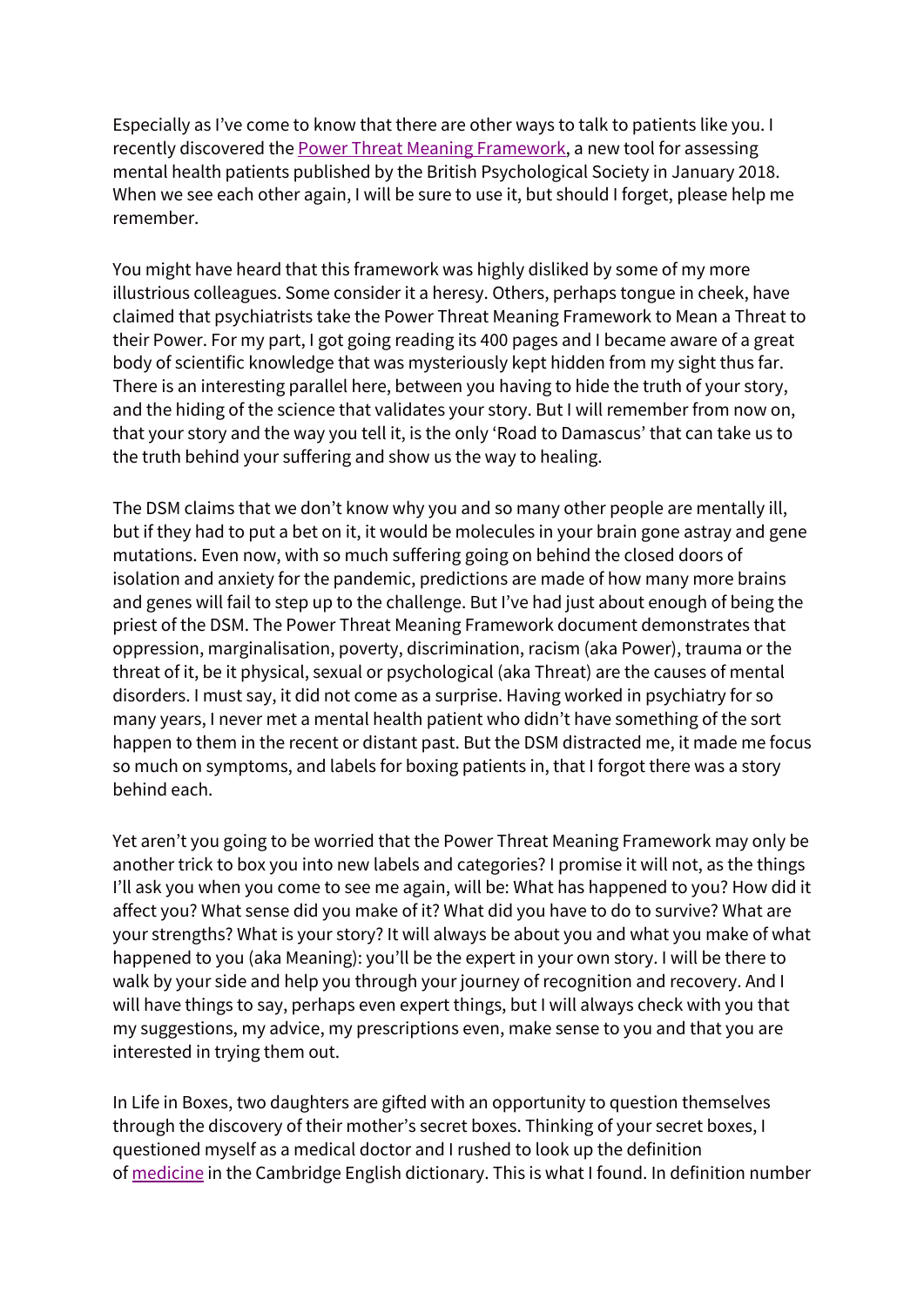Especially as I've come to know that there are other ways to talk to patients like you. I recently discovered the Power Threat Meaning Framework, a new tool for assessing mental health patients published by the British Psychological Society in January 2018. When we see each other again, I will be sure to use it, but should I forget, please help me remember.

You might have heard that this framework was highly disliked by some of my more illustrious colleagues. Some consider it a heresy. Others, perhaps tongue in cheek, have claimed that psychiatrists take the Power Threat Meaning Framework to Mean a Threat to their Power. For my part, I got going reading its 400 pages and I became aware of a great body of scientific knowledge that was mysteriously kept hidden from my sight thus far. There is an interesting parallel here, between you having to hide the truth of your story, and the hiding of the science that validates your story. But I will remember from now on, that your story and the way you tell it, is the only 'Road to Damascus' that can take us to the truth behind your suffering and show us the way to healing.

The DSM claims that we don't know why you and so many other people are mentally ill, but if they had to put a bet on it, it would be molecules in your brain gone astray and gene mutations. Even now, with so much suffering going on behind the closed doors of isolation and anxiety for the pandemic, predictions are made of how many more brains and genes will fail to step up to the challenge. But I've had just about enough of being the priest of the DSM. The Power Threat Meaning Framework document demonstrates that oppression, marginalisation, poverty, discrimination, racism (aka Power), trauma or the threat of it, be it physical, sexual or psychological (aka Threat) are the causes of mental disorders. I must say, it did not come as a surprise. Having worked in psychiatry for so many years, I never met a mental health patient who didn't have something of the sort happen to them in the recent or distant past. But the DSM distracted me, it made me focus so much on symptoms, and labels for boxing patients in, that I forgot there was a story behind each.

Yet aren't you going to be worried that the Power Threat Meaning Framework may only be another trick to box you into new labels and categories? I promise it will not, as the things I'll ask you when you come to see me again, will be: What has happened to you? How did it affect you? What sense did you make of it? What did you have to do to survive? What are your strengths? What is your story? It will always be about you and what you make of what happened to you (aka Meaning): you'll be the expert in your own story. I will be there to walk by your side and help you through your journey of recognition and recovery. And I will have things to say, perhaps even expert things, but I will always check with you that my suggestions, my advice, my prescriptions even, make sense to you and that you are interested in trying them out.

In Life in Boxes, two daughters are gifted with an opportunity to question themselves through the discovery of their mother's secret boxes. Thinking of your secret boxes, I questioned myself as a medical doctor and I rushed to look up the definition of medicine in the Cambridge English dictionary. This is what I found. In definition number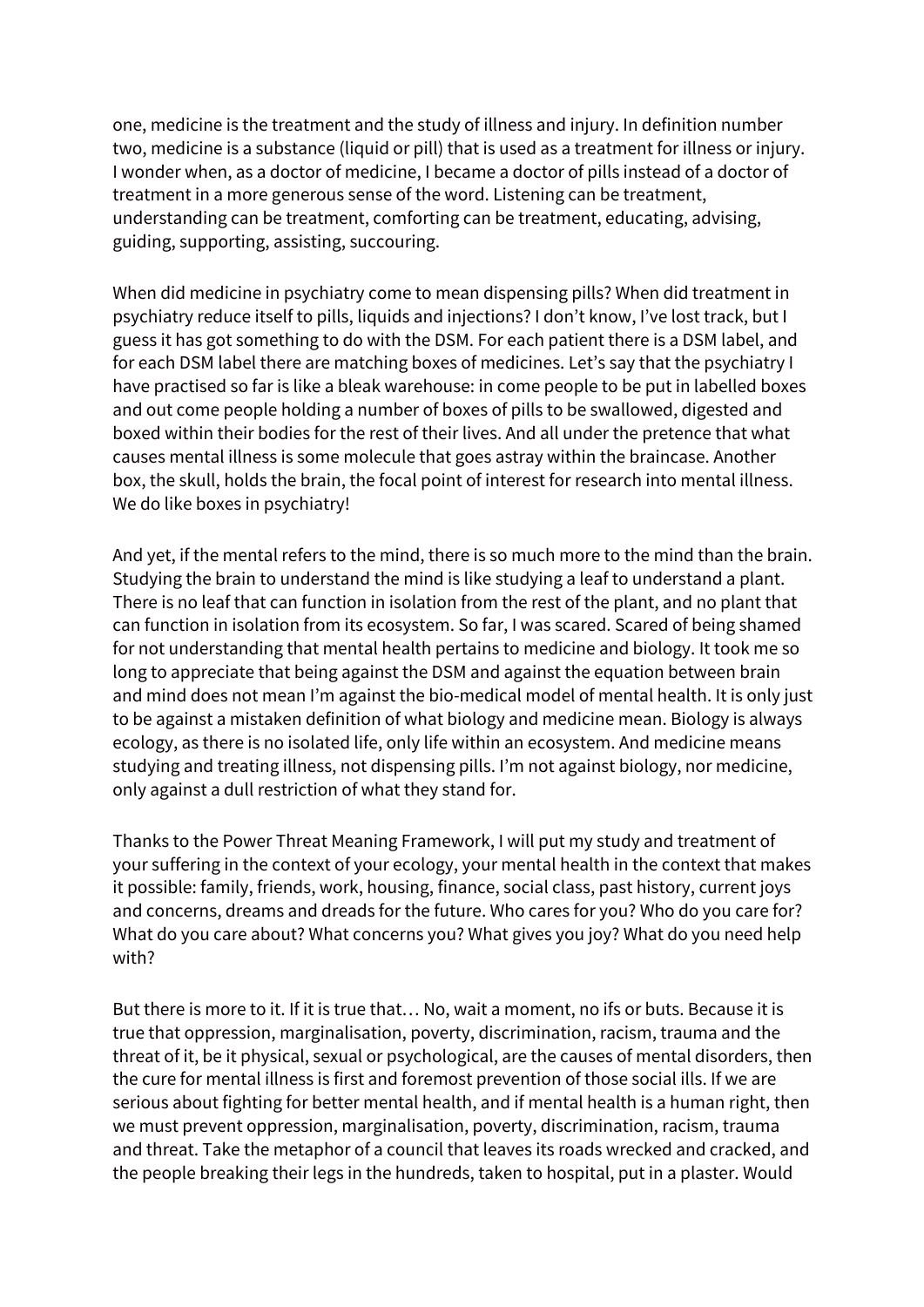one, medicine is the treatment and the study of illness and injury. In definition number two, medicine is a substance (liquid or pill) that is used as a treatment for illness or injury. I wonder when, as a doctor of medicine, I became a doctor of pills instead of a doctor of treatment in a more generous sense of the word. Listening can be treatment, understanding can be treatment, comforting can be treatment, educating, advising, guiding, supporting, assisting, succouring.

When did medicine in psychiatry come to mean dispensing pills? When did treatment in psychiatry reduce itself to pills, liquids and injections? I don't know, I've lost track, but I guess it has got something to do with the DSM. For each patient there is a DSM label, and for each DSM label there are matching boxes of medicines. Let's say that the psychiatry I have practised so far is like a bleak warehouse: in come people to be put in labelled boxes and out come people holding a number of boxes of pills to be swallowed, digested and boxed within their bodies for the rest of their lives. And all under the pretence that what causes mental illness is some molecule that goes astray within the braincase. Another box, the skull, holds the brain, the focal point of interest for research into mental illness. We do like boxes in psychiatry!

And yet, if the mental refers to the mind, there is so much more to the mind than the brain. Studying the brain to understand the mind is like studying a leaf to understand a plant. There is no leaf that can function in isolation from the rest of the plant, and no plant that can function in isolation from its ecosystem. So far, I was scared. Scared of being shamed for not understanding that mental health pertains to medicine and biology. It took me so long to appreciate that being against the DSM and against the equation between brain and mind does not mean I'm against the bio-medical model of mental health. It is only just to be against a mistaken definition of what biology and medicine mean. Biology is always ecology, as there is no isolated life, only life within an ecosystem. And medicine means studying and treating illness, not dispensing pills. I'm not against biology, nor medicine, only against a dull restriction of what they stand for.

Thanks to the Power Threat Meaning Framework, I will put my study and treatment of your suffering in the context of your ecology, your mental health in the context that makes it possible: family, friends, work, housing, finance, social class, past history, current joys and concerns, dreams and dreads for the future. Who cares for you? Who do you care for? What do you care about? What concerns you? What gives you joy? What do you need help with?

But there is more to it. If it is true that… No, wait a moment, no ifs or buts. Because it is true that oppression, marginalisation, poverty, discrimination, racism, trauma and the threat of it, be it physical, sexual or psychological, are the causes of mental disorders, then the cure for mental illness is first and foremost prevention of those social ills. If we are serious about fighting for better mental health, and if mental health is a human right, then we must prevent oppression, marginalisation, poverty, discrimination, racism, trauma and threat. Take the metaphor of a council that leaves its roads wrecked and cracked, and the people breaking their legs in the hundreds, taken to hospital, put in a plaster. Would